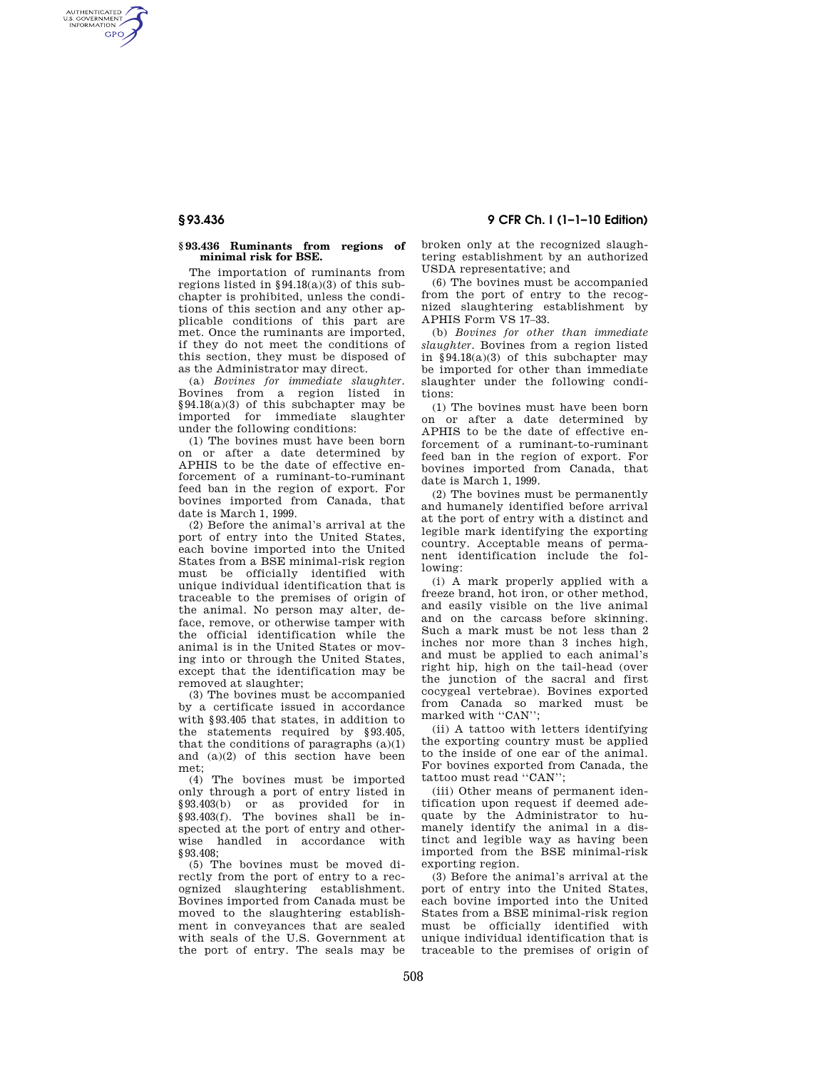AUTHENTICATED<br>U.S. GOVERNMENT<br>INFORMATION **GPO** 

#### **§ 93.436 Ruminants from regions of minimal risk for BSE.**

The importation of ruminants from regions listed in  $§94.18(a)(3)$  of this subchapter is prohibited, unless the conditions of this section and any other applicable conditions of this part are met. Once the ruminants are imported, if they do not meet the conditions of this section, they must be disposed of as the Administrator may direct.

(a) *Bovines for immediate slaughter.*  Bovines from a region listed in §94.18(a)(3) of this subchapter may be imported for immediate slaughter under the following conditions:

(1) The bovines must have been born on or after a date determined by APHIS to be the date of effective enforcement of a ruminant-to-ruminant feed ban in the region of export. For bovines imported from Canada, that date is March 1, 1999.

(2) Before the animal's arrival at the port of entry into the United States, each bovine imported into the United States from a BSE minimal-risk region must be officially identified with unique individual identification that is traceable to the premises of origin of the animal. No person may alter, deface, remove, or otherwise tamper with the official identification while the animal is in the United States or moving into or through the United States, except that the identification may be removed at slaughter;

(3) The bovines must be accompanied by a certificate issued in accordance with §93.405 that states, in addition to the statements required by §93.405, that the conditions of paragraphs  $(a)(1)$ and (a)(2) of this section have been met;

(4) The bovines must be imported only through a port of entry listed in §93.403(b) or as provided for in §93.403(f). The bovines shall be inspected at the port of entry and otherwise handled in accordance with §93.408;

(5) The bovines must be moved directly from the port of entry to a recognized slaughtering establishment. Bovines imported from Canada must be moved to the slaughtering establishment in conveyances that are sealed with seals of the U.S. Government at the port of entry. The seals may be

broken only at the recognized slaughtering establishment by an authorized USDA representative; and

(6) The bovines must be accompanied from the port of entry to the recognized slaughtering establishment by APHIS Form VS 17–33.

(b) *Bovines for other than immediate slaughter.* Bovines from a region listed in  $§94.18(a)(3)$  of this subchapter may be imported for other than immediate slaughter under the following conditions:

(1) The bovines must have been born on or after a date determined by APHIS to be the date of effective enforcement of a ruminant-to-ruminant feed ban in the region of export. For bovines imported from Canada, that date is March 1, 1999.

(2) The bovines must be permanently and humanely identified before arrival at the port of entry with a distinct and legible mark identifying the exporting country. Acceptable means of permanent identification include the following:

(i) A mark properly applied with a freeze brand, hot iron, or other method, and easily visible on the live animal and on the carcass before skinning. Such a mark must be not less than 2 inches nor more than 3 inches high, and must be applied to each animal's right hip, high on the tail-head (over the junction of the sacral and first cocygeal vertebrae). Bovines exported from Canada so marked must be marked with ''CAN'';  $\,$ 

(ii) A tattoo with letters identifying the exporting country must be applied to the inside of one ear of the animal. For bovines exported from Canada, the tattoo must read ''CAN'';

(iii) Other means of permanent identification upon request if deemed adequate by the Administrator to humanely identify the animal in a distinct and legible way as having been imported from the BSE minimal-risk exporting region.

(3) Before the animal's arrival at the port of entry into the United States, each bovine imported into the United States from a BSE minimal-risk region must be officially identified with unique individual identification that is traceable to the premises of origin of